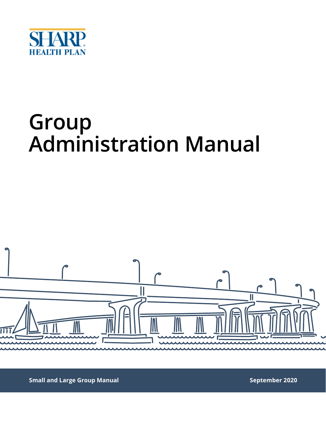

## **Group Administration Manual**



**Small and Large Group Manual September 2020**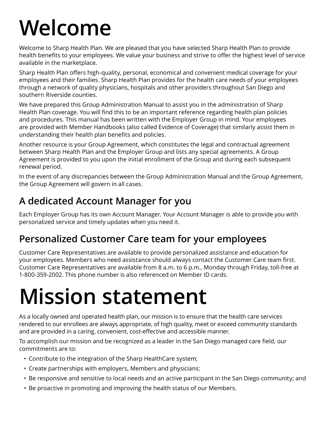## **Welcome**

Welcome to Sharp Health Plan. We are pleased that you have selected Sharp Health Plan to provide health benefits to your employees. We value your business and strive to offer the highest level of service available in the marketplace.

Sharp Health Plan offers high-quality, personal, economical and convenient medical coverage for your employees and their families. Sharp Health Plan provides for the health care needs of your employees through a network of quality physicians, hospitals and other providers throughout San Diego and southern Riverside counties.

We have prepared this Group Administration Manual to assist you in the administration of Sharp Health Plan coverage. You will find this to be an important reference regarding health plan policies and procedures. This manual has been written with the Employer Group in mind. Your employees are provided with Member Handbooks (also called Evidence of Coverage) that similarly assist them in understanding their health plan benefits and policies.

Another resource is your Group Agreement, which constitutes the legal and contractual agreement between Sharp Health Plan and the Employer Group and lists any special agreements. A Group Agreement is provided to you upon the initial enrollment of the Group and during each subsequent renewal period.

In the event of any discrepancies between the Group Administration Manual and the Group Agreement, the Group Agreement will govern in all cases.

## **A dedicated Account Manager for you**

Each Employer Group has its own Account Manager. Your Account Manager is able to provide you with personalized service and timely updates when you need it.

## **Personalized Customer Care team for your employees**

Customer Care Representatives are available to provide personalized assistance and education for your employees. Members who need assistance should always contact the Customer Care team first. Customer Care Representatives are available from 8 a.m. to 6 p.m., Monday through Friday, toll-free at 1-800-359-2002. This phone number is also referenced on Member ID cards.

## **Mission statement**

As a locally owned and operated health plan, our mission is to ensure that the health care services rendered to our enrollees are always appropriate, of high quality, meet or exceed community standards and are provided in a caring, convenient, cost-effective and accessible manner.

To accomplish our mission and be recognized as a leader in the San Diego managed care field, our commitments are to:

- Contribute to the integration of the Sharp HealthCare system;
- Create partnerships with employers, Members and physicians;
- Be responsive and sensitive to local needs and an active participant in the San Diego community; and
- Be proactive in promoting and improving the health status of our Members.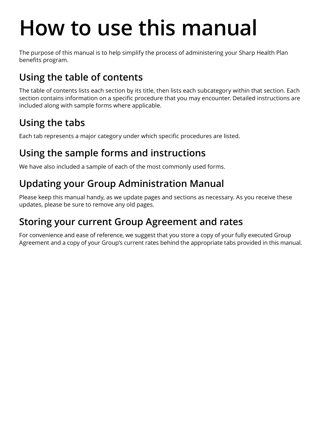## **How to use this manual**

The purpose of this manual is to help simplify the process of administering your Sharp Health Plan benefits program.

## **Using the table of contents**

The table of contents lists each section by its title, then lists each subcategory within that section. Each section contains information on a specific procedure that you may encounter. Detailed instructions are included along with sample forms where applicable.

## **Using the tabs**

Each tab represents a major category under which specific procedures are listed.

## **Using the sample forms and instructions**

We have also included a sample of each of the most commonly used forms.

### **Updating your Group Administration Manual**

Please keep this manual handy, as we update pages and sections as necessary. As you receive these updates, please be sure to remove any old pages.

## **Storing your current Group Agreement and rates**

For convenience and ease of reference, we suggest that you store a copy of your fully executed Group Agreement and a copy of your Group's current rates behind the appropriate tabs provided in this manual.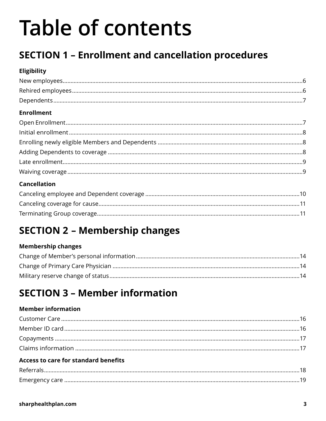## **Table of contents**

## **SECTION 1 - Enrollment and cancellation procedures**

#### Eligibility

| <b>Enrollment</b> |  |
|-------------------|--|
|                   |  |
|                   |  |
|                   |  |
|                   |  |
|                   |  |
|                   |  |

#### **Cancellation**

## **SECTION 2 - Membership changes**

#### **Membership changes**

## **SECTION 3 - Member information**

#### **Member information**

#### **Access to care for standard benefits**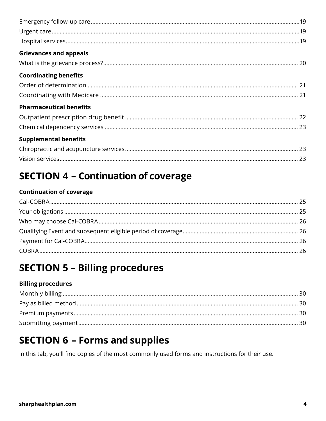| <b>Grievances and appeals</b>  |
|--------------------------------|
|                                |
| <b>Coordinating benefits</b>   |
|                                |
|                                |
| <b>Pharmaceutical benefits</b> |
|                                |
|                                |
| <b>Supplemental benefits</b>   |
|                                |
|                                |

### **SECTION 4 - Continuation of coverage**

#### **Continuation of coverage**

### **SECTION 5 - Billing procedures**

#### **Billing procedures**

### **SECTION 6 - Forms and supplies**

In this tab, you'll find copies of the most commonly used forms and instructions for their use.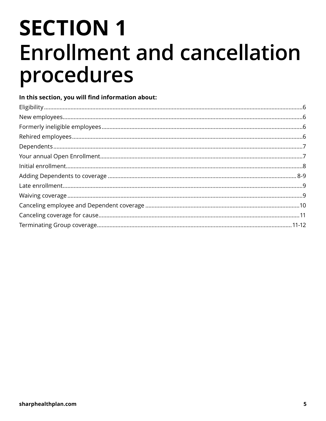## **SECTION 1 Enrollment and cancellation** procedures

#### In this section, you will find information about: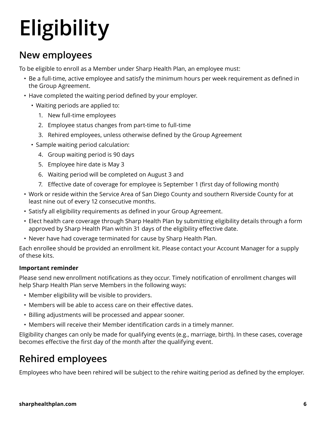# **Eligibility**

#### **New employees**

To be eligible to enroll as a Member under Sharp Health Plan, an employee must:

- Be a full-time, active employee and satisfy the minimum hours per week requirement as defined in the Group Agreement.
- Have completed the waiting period defined by your employer.
	- Waiting periods are applied to:
		- 1. New full-time employees
		- 2. Employee status changes from part-time to full-time
		- 3. Rehired employees, unless otherwise defined by the Group Agreement
	- Sample waiting period calculation:
		- 4. Group waiting period is 90 days
		- 5. Employee hire date is May 3
		- 6. Waiting period will be completed on August 3 and
		- 7. Effective date of coverage for employee is September 1 (first day of following month)
- Work or reside within the Service Area of San Diego County and southern Riverside County for at least nine out of every 12 consecutive months.
- Satisfy all eligibility requirements as defined in your Group Agreement.
- Elect health care coverage through Sharp Health Plan by submitting eligibility details through a form approved by Sharp Health Plan within 31 days of the eligibility effective date.
- Never have had coverage terminated for cause by Sharp Health Plan.

Each enrollee should be provided an enrollment kit. Please contact your Account Manager for a supply of these kits.

#### **Important reminder**

Please send new enrollment notifications as they occur. Timely notification of enrollment changes will help Sharp Health Plan serve Members in the following ways:

- Member eligibility will be visible to providers.
- Members will be able to access care on their effective dates.
- Billing adjustments will be processed and appear sooner.
- Members will receive their Member identification cards in a timely manner.

Eligibility changes can only be made for qualifying events (e.g., marriage, birth). In these cases, coverage becomes effective the first day of the month after the qualifying event.

## **Rehired employees**

Employees who have been rehired will be subject to the rehire waiting period as defined by the employer.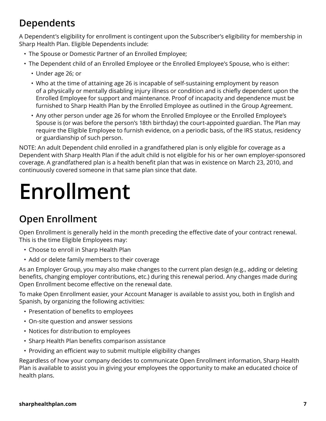### **Dependents**

A Dependent's eligibility for enrollment is contingent upon the Subscriber's eligibility for membership in Sharp Health Plan. Eligible Dependents include:

- The Spouse or Domestic Partner of an Enrolled Employee;
- The Dependent child of an Enrolled Employee or the Enrolled Employee's Spouse, who is either:
	- Under age 26; or
	- Who at the time of attaining age 26 is incapable of self-sustaining employment by reason of a physically or mentally disabling injury illness or condition and is chiefly dependent upon the Enrolled Employee for support and maintenance. Proof of incapacity and dependence must be furnished to Sharp Health Plan by the Enrolled Employee as outlined in the Group Agreement.
	- Any other person under age 26 for whom the Enrolled Employee or the Enrolled Employee's Spouse is (or was before the person's 18th birthday) the court-appointed guardian. The Plan may require the Eligible Employee to furnish evidence, on a periodic basis, of the IRS status, residency or guardianship of such person.

NOTE: An adult Dependent child enrolled in a grandfathered plan is only eligible for coverage as a Dependent with Sharp Health Plan if the adult child is not eligible for his or her own employer-sponsored coverage. A grandfathered plan is a health benefit plan that was in existence on March 23, 2010, and continuously covered someone in that same plan since that date.

## **Enrollment**

### **Open Enrollment**

Open Enrollment is generally held in the month preceding the effective date of your contract renewal. This is the time Eligible Employees may:

- Choose to enroll in Sharp Health Plan
- Add or delete family members to their coverage

As an Employer Group, you may also make changes to the current plan design (e.g., adding or deleting benefits, changing employer contributions, etc.) during this renewal period. Any changes made during Open Enrollment become effective on the renewal date.

To make Open Enrollment easier, your Account Manager is available to assist you, both in English and Spanish, by organizing the following activities:

- Presentation of benefits to employees
- On-site question and answer sessions
- Notices for distribution to employees
- Sharp Health Plan benefits comparison assistance
- Providing an efficient way to submit multiple eligibility changes

Regardless of how your company decides to communicate Open Enrollment information, Sharp Health Plan is available to assist you in giving your employees the opportunity to make an educated choice of health plans.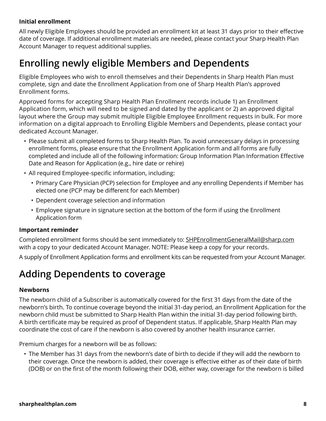#### **Initial enrollment**

All newly Eligible Employees should be provided an enrollment kit at least 31 days prior to their effective date of coverage. If additional enrollment materials are needed, please contact your Sharp Health Plan Account Manager to request additional supplies.

### **Enrolling newly eligible Members and Dependents**

Eligible Employees who wish to enroll themselves and their Dependents in Sharp Health Plan must complete, sign and date the Enrollment Application from one of Sharp Health Plan's approved Enrollment forms.

Approved forms for accepting Sharp Health Plan Enrollment records include 1) an Enrollment Application form, which will need to be signed and dated by the applicant or 2) an approved digital layout where the Group may submit multiple Eligible Employee Enrollment requests in bulk. For more information on a digital approach to Enrolling Eligible Members and Dependents, please contact your dedicated Account Manager.

- Please submit all completed forms to Sharp Health Plan. To avoid unnecessary delays in processing enrollment forms, please ensure that the Enrollment Application form and all forms are fully completed and include all of the following information: Group Information Plan Information Effective Date and Reason for Application (e.g., hire date or rehire)
- All required Employee-specific information, including:
	- Primary Care Physician (PCP) selection for Employee and any enrolling Dependents if Member has elected one (PCP may be different for each Member)
	- Dependent coverage selection and information
	- Employee signature in signature section at the bottom of the form if using the Enrollment Application form

#### **Important reminder**

Completed enrollment forms should be sent immediately to: [SHPEnrollmentGeneralMail@sharp.com](mailto:SHPEnrollmentGeneralMail@sharp.com) with a copy to your dedicated Account Manager. NOTE: Please keep a copy for your records.

A supply of Enrollment Application forms and enrollment kits can be requested from your Account Manager.

#### **Adding Dependents to coverage**

#### **Newborns**

The newborn child of a Subscriber is automatically covered for the first 31 days from the date of the newborn's birth. To continue coverage beyond the initial 31-day period, an Enrollment Application for the newborn child must be submitted to Sharp Health Plan within the initial 31-day period following birth. A birth certificate may be required as proof of Dependent status. If applicable, Sharp Health Plan may coordinate the cost of care if the newborn is also covered by another health insurance carrier.

Premium charges for a newborn will be as follows:

• The Member has 31 days from the newborn's date of birth to decide if they will add the newborn to their coverage. Once the newborn is added, their coverage is effective either as of their date of birth (DOB) or on the first of the month following their DOB, either way, coverage for the newborn is billed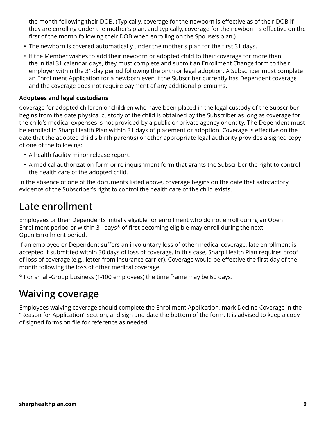the month following their DOB. (Typically, coverage for the newborn is effective as of their DOB if they are enrolling under the mother's plan, and typically, coverage for the newborn is effective on the first of the month following their DOB when enrolling on the Spouse's plan.)

- The newborn is covered automatically under the mother's plan for the first 31 days.
- If the Member wishes to add their newborn or adopted child to their coverage for more than the initial 31 calendar days, they must complete and submit an Enrollment Change form to their employer within the 31-day period following the birth or legal adoption. A Subscriber must complete an Enrollment Application for a newborn even if the Subscriber currently has Dependent coverage and the coverage does not require payment of any additional premiums.

#### **Adoptees and legal custodians**

Coverage for adopted children or children who have been placed in the legal custody of the Subscriber begins from the date physical custody of the child is obtained by the Subscriber as long as coverage for the child's medical expenses is not provided by a public or private agency or entity. The Dependent must be enrolled in Sharp Health Plan within 31 days of placement or adoption. Coverage is effective on the date that the adopted child's birth parent(s) or other appropriate legal authority provides a signed copy of one of the following:

- A health facility minor release report.
- A medical authorization form or relinquishment form that grants the Subscriber the right to control the health care of the adopted child.

In the absence of one of the documents listed above, coverage begins on the date that satisfactory evidence of the Subscriber's right to control the health care of the child exists.

#### **Late enrollment**

Employees or their Dependents initially eligible for enrollment who do not enroll during an Open Enrollment period or within 31 days\* of first becoming eligible may enroll during the next Open Enrollment period.

If an employee or Dependent suffers an involuntary loss of other medical coverage, late enrollment is accepted if submitted within 30 days of loss of coverage. In this case, Sharp Health Plan requires proof of loss of coverage (e.g., letter from insurance carrier). Coverage would be effective the first day of the month following the loss of other medical coverage.

\* For small-Group business (1-100 employees) the time frame may be 60 days.

#### **Waiving coverage**

Employees waiving coverage should complete the Enrollment Application, mark Decline Coverage in the "Reason for Application" section, and sign and date the bottom of the form. It is advised to keep a copy of signed forms on file for reference as needed.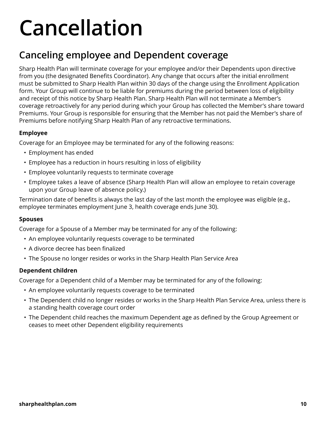## **Cancellation**

#### **Canceling employee and Dependent coverage**

Sharp Health Plan will terminate coverage for your employee and/or their Dependents upon directive from you (the designated Benefits Coordinator). Any change that occurs after the initial enrollment must be submitted to Sharp Health Plan within 30 days of the change using the Enrollment Application form. Your Group will continue to be liable for premiums during the period between loss of eligibility and receipt of this notice by Sharp Health Plan. Sharp Health Plan will not terminate a Member's coverage retroactively for any period during which your Group has collected the Member's share toward Premiums. Your Group is responsible for ensuring that the Member has not paid the Member's share of Premiums before notifying Sharp Health Plan of any retroactive terminations.

#### **Employee**

Coverage for an Employee may be terminated for any of the following reasons:

- Employment has ended
- Employee has a reduction in hours resulting in loss of eligibility
- Employee voluntarily requests to terminate coverage
- Employee takes a leave of absence (Sharp Health Plan will allow an employee to retain coverage upon your Group leave of absence policy.)

Termination date of benefits is always the last day of the last month the employee was eligible (e.g., employee terminates employment June 3, health coverage ends June 30).

#### **Spouses**

Coverage for a Spouse of a Member may be terminated for any of the following:

- An employee voluntarily requests coverage to be terminated
- A divorce decree has been finalized
- The Spouse no longer resides or works in the Sharp Health Plan Service Area

#### **Dependent children**

Coverage for a Dependent child of a Member may be terminated for any of the following:

- An employee voluntarily requests coverage to be terminated
- The Dependent child no longer resides or works in the Sharp Health Plan Service Area, unless there is a standing health coverage court order
- The Dependent child reaches the maximum Dependent age as defined by the Group Agreement or ceases to meet other Dependent eligibility requirements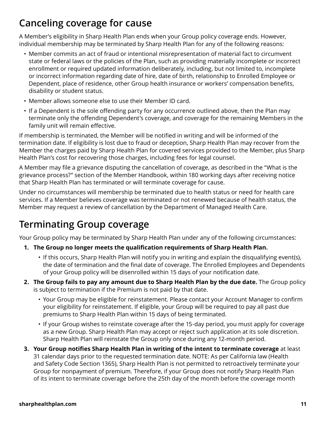#### **Canceling coverage for cause**

A Member's eligibility in Sharp Health Plan ends when your Group policy coverage ends. However, individual membership may be terminated by Sharp Health Plan for any of the following reasons:

- Member commits an act of fraud or intentional misrepresentation of material fact to circumvent state or federal laws or the policies of the Plan, such as providing materially incomplete or incorrect enrollment or required updated information deliberately, including, but not limited to, incomplete or incorrect information regarding date of hire, date of birth, relationship to Enrolled Employee or Dependent, place of residence, other Group health insurance or workers' compensation benefits, disability or student status.
- Member allows someone else to use their Member ID card.
- If a Dependent is the sole offending party for any occurrence outlined above, then the Plan may terminate only the offending Dependent's coverage, and coverage for the remaining Members in the family unit will remain effective.

If membership is terminated, the Member will be notified in writing and will be informed of the termination date. If eligibility is lost due to fraud or deception, Sharp Health Plan may recover from the Member the charges paid by Sharp Health Plan for covered services provided to the Member, plus Sharp Health Plan's cost for recovering those charges, including fees for legal counsel.

A Member may file a grievance disputing the cancellation of coverage, as described in the "What is the grievance process?" section of the Member Handbook, within 180 working days after receiving notice that Sharp Health Plan has terminated or will terminate coverage for cause.

Under no circumstances will membership be terminated due to health status or need for health care services. If a Member believes coverage was terminated or not renewed because of health status, the Member may request a review of cancellation by the Department of Managed Health Care.

### **Terminating Group coverage**

Your Group policy may be terminated by Sharp Health Plan under any of the following circumstances:

- **1. The Group no longer meets the qualification requirements of Sharp Health Plan.**
	- If this occurs, Sharp Health Plan will notify you in writing and explain the disqualifying event(s), the date of termination and the final date of coverage. The Enrolled Employees and Dependents of your Group policy will be disenrolled within 15 days of your notification date.
- **2. The Group fails to pay any amount due to Sharp Health Plan by the due date.** The Group policy is subject to termination if the Premium is not paid by that date.
	- Your Group may be eligible for reinstatement. Please contact your Account Manager to confirm your eligibility for reinstatement. If eligible, your Group will be required to pay all past due premiums to Sharp Health Plan within 15 days of being terminated.
	- If your Group wishes to reinstate coverage after the 15-day period, you must apply for coverage as a new Group. Sharp Health Plan may accept or reject such application at its sole discretion. Sharp Health Plan will reinstate the Group only once during any 12-month period.
- **3. Your Group notifies Sharp Health Plan in writing of the intent to terminate coverage** at least 31 calendar days prior to the requested termination date. NOTE: As per California law (Health and Safety Code Section 1365), Sharp Health Plan is not permitted to retroactively terminate your Group for nonpayment of premium. Therefore, if your Group does not notify Sharp Health Plan of its intent to terminate coverage before the 25th day of the month before the coverage month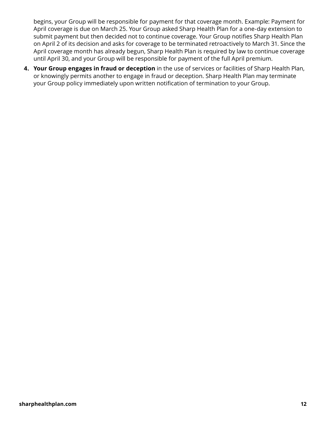begins, your Group will be responsible for payment for that coverage month. Example: Payment for April coverage is due on March 25. Your Group asked Sharp Health Plan for a one-day extension to submit payment but then decided not to continue coverage. Your Group notifies Sharp Health Plan on April 2 of its decision and asks for coverage to be terminated retroactively to March 31. Since the April coverage month has already begun, Sharp Health Plan is required by law to continue coverage until April 30, and your Group will be responsible for payment of the full April premium.

**4. Your Group engages in fraud or deception** in the use of services or facilities of Sharp Health Plan, or knowingly permits another to engage in fraud or deception. Sharp Health Plan may terminate your Group policy immediately upon written notification of termination to your Group.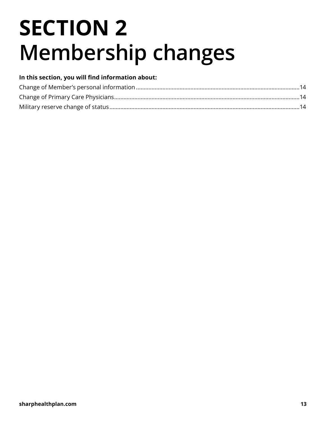## **SECTION 2 Membership changes**

#### **In this section, you will find information about:**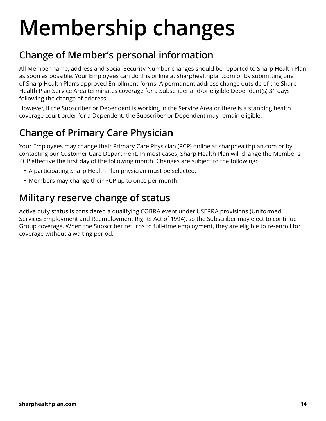## **Membership changes**

#### **Change of Member's personal information**

All Member name, address and Social Security Number changes should be reported to Sharp Health Plan as soon as possible. Your Employees can do this online at [sharphealthplan.com](http://www.sharphealthplan.com/) or by submitting one of Sharp Health Plan's approved Enrollment forms. A permanent address change outside of the Sharp Health Plan Service Area terminates coverage for a Subscriber and/or eligible Dependent(s) 31 days following the change of address.

However, if the Subscriber or Dependent is working in the Service Area or there is a standing health coverage court order for a Dependent, the Subscriber or Dependent may remain eligible.

### **Change of Primary Care Physician**

Your Employees may change their Primary Care Physician (PCP) online at [sharphealthplan.com](http://www.sharphealthplan.com/) or by contacting our Customer Care Department. In most cases, Sharp Health Plan will change the Member's PCP effective the first day of the following month. Changes are subject to the following:

- A participating Sharp Health Plan physician must be selected.
- Members may change their PCP up to once per month.

#### **Military reserve change of status**

Active duty status is considered a qualifying COBRA event under USERRA provisions (Uniformed Services Employment and Reemployment Rights Act of 1994), so the Subscriber may elect to continue Group coverage. When the Subscriber returns to full-time employment, they are eligible to re-enroll for coverage without a waiting period.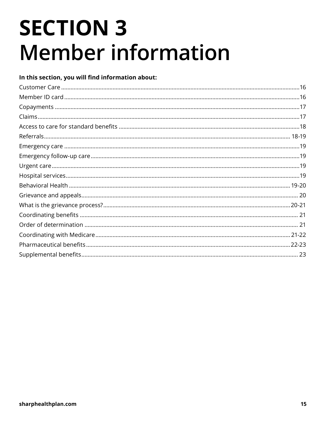## **SECTION 3 Member information**

| In this section, you will find information about: |  |
|---------------------------------------------------|--|
|                                                   |  |
|                                                   |  |
|                                                   |  |
|                                                   |  |
|                                                   |  |
|                                                   |  |
|                                                   |  |
|                                                   |  |
|                                                   |  |
|                                                   |  |
|                                                   |  |
|                                                   |  |
|                                                   |  |
|                                                   |  |
|                                                   |  |
|                                                   |  |
|                                                   |  |
|                                                   |  |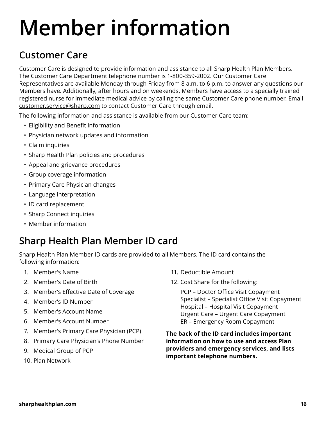## **Member information**

## **Customer Care**

Customer Care is designed to provide information and assistance to all Sharp Health Plan Members. The Customer Care Department telephone number is 1-800-359-2002. Our Customer Care Representatives are available Monday through Friday from 8 a.m. to 6 p.m. to answer any questions our Members have. Additionally, after hours and on weekends, Members have access to a specially trained registered nurse for immediate medical advice by calling the same Customer Care phone number. Email [customer.service@sharp.com](mailto:customer.service@sharp.com) to contact Customer Care through email.

The following information and assistance is available from our Customer Care team:

- Eligibility and Benefit information
- Physician network updates and information
- Claim inquiries
- Sharp Health Plan policies and procedures
- Appeal and grievance procedures
- Group coverage information
- Primary Care Physician changes
- Language interpretation
- ID card replacement
- Sharp Connect inquiries
- Member information

### **Sharp Health Plan Member ID card**

Sharp Health Plan Member ID cards are provided to all Members. The ID card contains the following information:

- 1. Member's Name
- 2. Member's Date of Birth
- 3. Member's Effective Date of Coverage
- 4. Member's ID Number
- 5. Member's Account Name
- 6. Member's Account Number
- 7. Member's Primary Care Physician (PCP)
- 8. Primary Care Physician's Phone Number
- 9. Medical Group of PCP
- 10. Plan Network
- 11. Deductible Amount
- 12. Cost Share for the following:

PCP – Doctor Office Visit Copayment Specialist – Specialist Office Visit Copayment Hospital – Hospital Visit Copayment Urgent Care – Urgent Care Copayment ER – Emergency Room Copayment

**The back of the ID card includes important information on how to use and access Plan providers and emergency services, and lists important telephone numbers.**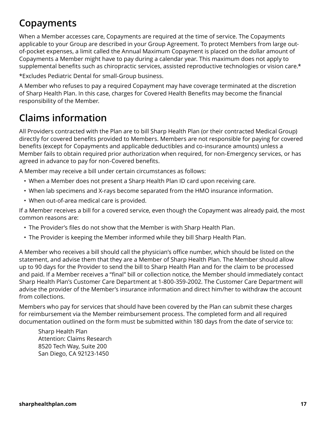### **Copayments**

When a Member accesses care, Copayments are required at the time of service. The Copayments applicable to your Group are described in your Group Agreement. To protect Members from large outof-pocket expenses, a limit called the Annual Maximum Copayment is placed on the dollar amount of Copayments a Member might have to pay during a calendar year. This maximum does not apply to supplemental benefits such as chiropractic services, assisted reproductive technologies or vision care.\*

\*Excludes Pediatric Dental for small-Group business.

A Member who refuses to pay a required Copayment may have coverage terminated at the discretion of Sharp Health Plan. In this case, charges for Covered Health Benefits may become the financial responsibility of the Member.

#### **Claims information**

All Providers contracted with the Plan are to bill Sharp Health Plan (or their contracted Medical Group) directly for covered benefits provided to Members. Members are not responsible for paying for covered benefits (except for Copayments and applicable deductibles and co-insurance amounts) unless a Member fails to obtain required prior authorization when required, for non-Emergency services, or has agreed in advance to pay for non-Covered benefits.

A Member may receive a bill under certain circumstances as follows:

- When a Member does not present a Sharp Health Plan ID card upon receiving care.
- When lab specimens and X-rays become separated from the HMO insurance information.
- When out-of-area medical care is provided.

If a Member receives a bill for a covered service, even though the Copayment was already paid, the most common reasons are:

- The Provider's files do not show that the Member is with Sharp Health Plan.
- The Provider is keeping the Member informed while they bill Sharp Health Plan.

A Member who receives a bill should call the physician's office number, which should be listed on the statement, and advise them that they are a Member of Sharp Health Plan. The Member should allow up to 90 days for the Provider to send the bill to Sharp Health Plan and for the claim to be processed and paid. If a Member receives a "final" bill or collection notice, the Member should immediately contact Sharp Health Plan's Customer Care Department at 1-800-359-2002. The Customer Care Department will advise the provider of the Member's insurance information and direct him/her to withdraw the account from collections.

Members who pay for services that should have been covered by the Plan can submit these charges for reimbursement via the Member reimbursement process. The completed form and all required documentation outlined on the form must be submitted within 180 days from the date of service to:

Sharp Health Plan Attention: Claims Research 8520 Tech Way, Suite 200 San Diego, CA 92123-1450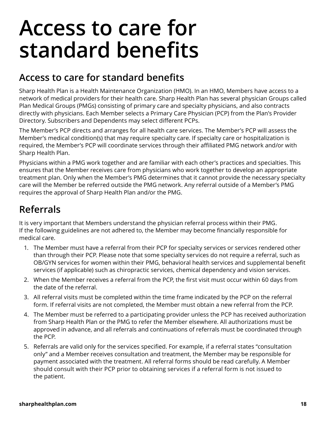## **Access to care for standard benefits**

### **Access to care for standard benefits**

Sharp Health Plan is a Health Maintenance Organization (HMO). In an HMO, Members have access to a network of medical providers for their health care. Sharp Health Plan has several physician Groups called Plan Medical Groups (PMGs) consisting of primary care and specialty physicians, and also contracts directly with physicians. Each Member selects a Primary Care Physician (PCP) from the Plan's Provider Directory. Subscribers and Dependents may select different PCPs.

The Member's PCP directs and arranges for all health care services. The Member's PCP will assess the Member's medical condition(s) that may require specialty care. If specialty care or hospitalization is required, the Member's PCP will coordinate services through their affiliated PMG network and/or with Sharp Health Plan.

Physicians within a PMG work together and are familiar with each other's practices and specialties. This ensures that the Member receives care from physicians who work together to develop an appropriate treatment plan. Only when the Member's PMG determines that it cannot provide the necessary specialty care will the Member be referred outside the PMG network. Any referral outside of a Member's PMG requires the approval of Sharp Health Plan and/or the PMG.

## **Referrals**

It is very important that Members understand the physician referral process within their PMG. If the following guidelines are not adhered to, the Member may become financially responsible for medical care.

- 1. The Member must have a referral from their PCP for specialty services or services rendered other than through their PCP. Please note that some specialty services do not require a referral, such as OB/GYN services for women within their PMG, behavioral health services and supplemental benefit services (if applicable) such as chiropractic services, chemical dependency and vision services.
- 2. When the Member receives a referral from the PCP, the first visit must occur within 60 days from the date of the referral.
- 3. All referral visits must be completed within the time frame indicated by the PCP on the referral form. If referral visits are not completed, the Member must obtain a new referral from the PCP.
- 4. The Member must be referred to a participating provider unless the PCP has received authorization from Sharp Health Plan or the PMG to refer the Member elsewhere. All authorizations must be approved in advance, and all referrals and continuations of referrals must be coordinated through the PCP.
- 5. Referrals are valid only for the services specified. For example, if a referral states "consultation only" and a Member receives consultation and treatment, the Member may be responsible for payment associated with the treatment. All referral forms should be read carefully. A Member should consult with their PCP prior to obtaining services if a referral form is not issued to the patient.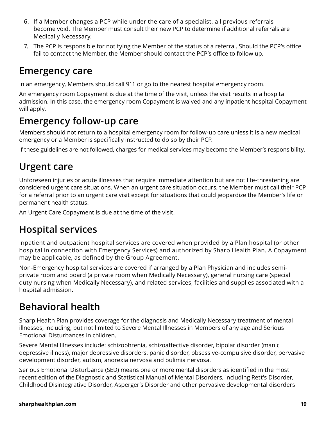- 6. If a Member changes a PCP while under the care of a specialist, all previous referrals become void. The Member must consult their new PCP to determine if additional referrals are Medically Necessary.
- 7. The PCP is responsible for notifying the Member of the status of a referral. Should the PCP's office fail to contact the Member, the Member should contact the PCP's office to follow up.

#### **Emergency care**

In an emergency, Members should call 911 or go to the nearest hospital emergency room.

An emergency room Copayment is due at the time of the visit, unless the visit results in a hospital admission. In this case, the emergency room Copayment is waived and any inpatient hospital Copayment will apply.

### **Emergency follow-up care**

Members should not return to a hospital emergency room for follow-up care unless it is a new medical emergency or a Member is specifically instructed to do so by their PCP.

If these guidelines are not followed, charges for medical services may become the Member's responsibility.

## **Urgent care**

Unforeseen injuries or acute illnesses that require immediate attention but are not life-threatening are considered urgent care situations. When an urgent care situation occurs, the Member must call their PCP for a referral prior to an urgent care visit except for situations that could jeopardize the Member's life or permanent health status.

An Urgent Care Copayment is due at the time of the visit.

### **Hospital services**

Inpatient and outpatient hospital services are covered when provided by a Plan hospital (or other hospital in connection with Emergency Services) and authorized by Sharp Health Plan. A Copayment may be applicable, as defined by the Group Agreement.

Non-Emergency hospital services are covered if arranged by a Plan Physician and includes semiprivate room and board (a private room when Medically Necessary), general nursing care (special duty nursing when Medically Necessary), and related services, facilities and supplies associated with a hospital admission.

## **Behavioral health**

Sharp Health Plan provides coverage for the diagnosis and Medically Necessary treatment of mental illnesses, including, but not limited to Severe Mental Illnesses in Members of any age and Serious Emotional Disturbances in children.

Severe Mental Illnesses include: schizophrenia, schizoaffective disorder, bipolar disorder (manic depressive illness), major depressive disorders, panic disorder, obsessive-compulsive disorder, pervasive development disorder, autism, anorexia nervosa and bulimia nervosa.

Serious Emotional Disturbance (SED) means one or more mental disorders as identified in the most recent edition of the Diagnostic and Statistical Manual of Mental Disorders, including Rett's Disorder, Childhood Disintegrative Disorder, Asperger's Disorder and other pervasive developmental disorders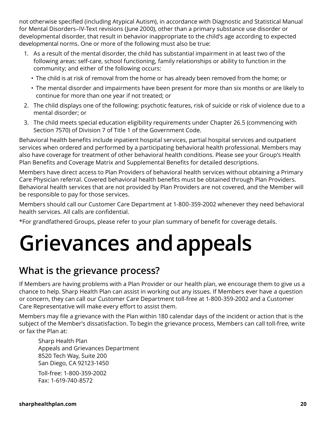not otherwise specified (including Atypical Autism), in accordance with Diagnostic and Statistical Manual for Mental Disorders–IV-Text revisions (June 2000), other than a primary substance use disorder or developmental disorder, that result in behavior inappropriate to the child's age according to expected developmental norms. One or more of the following must also be true:

- 1. As a result of the mental disorder, the child has substantial impairment in at least two of the following areas: self-care, school functioning, family relationships or ability to function in the community; and either of the following occurs:
	- The child is at risk of removal from the home or has already been removed from the home; or
	- The mental disorder and impairments have been present for more than six months or are likely to continue for more than one year if not treated; or
- 2. The child displays one of the following: psychotic features, risk of suicide or risk of violence due to a mental disorder; or
- 3. The child meets special education eligibility requirements under Chapter 26.5 (commencing with Section 7570) of Division 7 of Title 1 of the Government Code.

Behavioral health benefits include inpatient hospital services, partial hospital services and outpatient services when ordered and performed by a participating behavioral health professional. Members may also have coverage for treatment of other behavioral health conditions. Please see your Group's Health Plan Benefits and Coverage Matrix and Supplemental Benefits for detailed descriptions.

Members have direct access to Plan Providers of behavioral health services without obtaining a Primary Care Physician referral. Covered behavioral health benefits must be obtained through Plan Providers. Behavioral health services that are not provided by Plan Providers are not covered, and the Member will be responsible to pay for those services.

Members should call our Customer Care Department at 1-800-359-2002 whenever they need behavioral health services. All calls are confidential.

\*For grandfathered Groups, please refer to your plan summary of benefit for coverage details.

## **Grievances and appeals**

#### **What is the grievance process?**

If Members are having problems with a Plan Provider or our health plan, we encourage them to give us a chance to help. Sharp Health Plan can assist in working out any issues. If Members ever have a question or concern, they can call our Customer Care Department toll-free at 1-800-359-2002 and a Customer Care Representative will make every effort to assist them.

Members may file a grievance with the Plan within 180 calendar days of the incident or action that is the subject of the Member's dissatisfaction. To begin the grievance process, Members can call toll-free, write or fax the Plan at:

Sharp Health Plan Appeals and Grievances Department 8520 Tech Way, Suite 200 San Diego, CA 92123-1450 Toll-free: 1-800-359-2002

Fax: 1-619-740-8572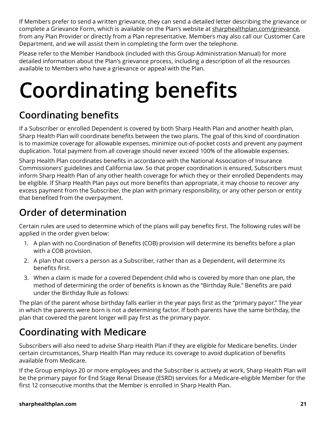If Members prefer to send a written grievance, they can send a detailed letter describing the grievance or complete a Grievance Form, which is available on the Plan's website at [sharphealthplan.com/grievance,](http://sharphealthplan.com/grievance) from any Plan Provider or directly from a Plan representative. Members may also call our Customer Care Department, and we will assist them in completing the form over the telephone.

Please refer to the Member Handbook (included with this Group Administration Manual) for more detailed information about the Plan's grievance process, including a description of all the resources available to Members who have a grievance or appeal with the Plan.

# **Coordinating benefits**

## **Coordinating benefits**

If a Subscriber or enrolled Dependent is covered by both Sharp Health Plan and another health plan, Sharp Health Plan will coordinate benefits between the two plans. The goal of this kind of coordination is to maximize coverage for allowable expenses, minimize out-of-pocket costs and prevent any payment duplication. Total payment from all coverage should never exceed 100% of the allowable expenses.

Sharp Health Plan coordinates benefits in accordance with the National Association of Insurance Commissioners' guidelines and California law. So that proper coordination is ensured, Subscribers must inform Sharp Health Plan of any other health coverage for which they or their enrolled Dependents may be eligible. If Sharp Health Plan pays out more benefits than appropriate, it may choose to recover any excess payment from the Subscriber, the plan with primary responsibility, or any other person or entity that benefited from the overpayment.

## **Order of determination**

Certain rules are used to determine which of the plans will pay benefits first. The following rules will be applied in the order given below:

- 1. A plan with no Coordination of Benefits (COB) provision will determine its benefits before a plan with a COB provision.
- 2. A plan that covers a person as a Subscriber, rather than as a Dependent, will determine its benefits first.
- 3. When a claim is made for a covered Dependent child who is covered by more than one plan, the method of determining the order of benefits is known as the "Birthday Rule." Benefits are paid under the Birthday Rule as follows:

The plan of the parent whose birthday falls earlier in the year pays first as the "primary payor." The year in which the parents were born is not a determining factor. If both parents have the same birthday, the plan that covered the parent longer will pay first as the primary payor.

## **Coordinating with Medicare**

Subscribers will also need to advise Sharp Health Plan if they are eligible for Medicare benefits. Under certain circumstances, Sharp Health Plan may reduce its coverage to avoid duplication of benefits available from Medicare.

If the Group employs 20 or more employees and the Subscriber is actively at work, Sharp Health Plan will be the primary payor for End Stage Renal Disease (ESRD) services for a Medicare-eligible Member for the first 12 consecutive months that the Member is enrolled in Sharp Health Plan.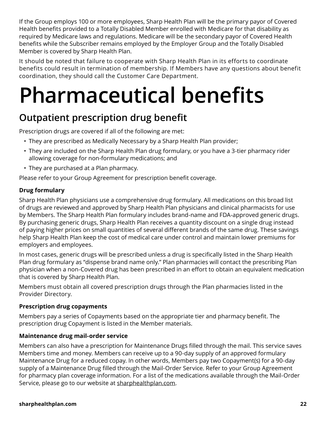If the Group employs 100 or more employees, Sharp Health Plan will be the primary payor of Covered Health benefits provided to a Totally Disabled Member enrolled with Medicare for that disability as required by Medicare laws and regulations. Medicare will be the secondary payor of Covered Health benefits while the Subscriber remains employed by the Employer Group and the Totally Disabled Member is covered by Sharp Health Plan.

It should be noted that failure to cooperate with Sharp Health Plan in its efforts to coordinate benefits could result in termination of membership. If Members have any questions about benefit coordination, they should call the Customer Care Department.

## **Pharmaceutical benefits**

#### **Outpatient prescription drug benefit**

Prescription drugs are covered if all of the following are met:

- They are prescribed as Medically Necessary by a Sharp Health Plan provider;
- They are included on the Sharp Health Plan drug formulary, or you have a 3-tier pharmacy rider allowing coverage for non-formulary medications; and
- They are purchased at a Plan pharmacy.

Please refer to your Group Agreement for prescription benefit coverage.

#### **Drug formulary**

Sharp Health Plan physicians use a comprehensive drug formulary. All medications on this broad list of drugs are reviewed and approved by Sharp Health Plan physicians and clinical pharmacists for use by Members. The Sharp Health Plan formulary includes brand-name and FDA-approved generic drugs. By purchasing generic drugs, Sharp Health Plan receives a quantity discount on a single drug instead of paying higher prices on small quantities of several different brands of the same drug. These savings help Sharp Health Plan keep the cost of medical care under control and maintain lower premiums for employers and employees.

In most cases, generic drugs will be prescribed unless a drug is specifically listed in the Sharp Health Plan drug formulary as "dispense brand name only." Plan pharmacies will contact the prescribing Plan physician when a non-Covered drug has been prescribed in an effort to obtain an equivalent medication that is covered by Sharp Health Plan.

Members must obtain all covered prescription drugs through the Plan pharmacies listed in the Provider Directory.

#### **Prescription drug copayments**

Members pay a series of Copayments based on the appropriate tier and pharmacy benefit. The prescription drug Copayment is listed in the Member materials.

#### **Maintenance drug mail-order service**

Members can also have a prescription for Maintenance Drugs filled through the mail. This service saves Members time and money. Members can receive up to a 90-day supply of an approved formulary Maintenance Drug for a reduced copay. In other words, Members pay two Copayment(s) for a 90-day supply of a Maintenance Drug filled through the Mail-Order Service. Refer to your Group Agreement for pharmacy plan coverage information. For a list of the medications available through the Mail-Order Service, please go to our website at [sharphealthplan.com](http://www.sharphealthplan.com/).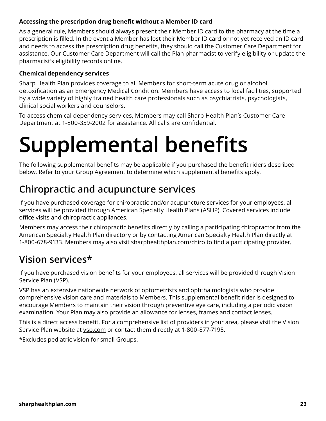#### **Accessing the prescription drug benefit without a Member ID card**

As a general rule, Members should always present their Member ID card to the pharmacy at the time a prescription is filled. In the event a Member has lost their Member ID card or not yet received an ID card and needs to access the prescription drug benefits, they should call the Customer Care Department for assistance. Our Customer Care Department will call the Plan pharmacist to verify eligibility or update the pharmacist's eligibility records online.

#### **Chemical dependency services**

Sharp Health Plan provides coverage to all Members for short-term acute drug or alcohol detoxification as an Emergency Medical Condition. Members have access to local facilities, supported by a wide variety of highly trained health care professionals such as psychiatrists, psychologists, clinical social workers and counselors.

To access chemical dependency services, Members may call Sharp Health Plan's Customer Care Department at 1-800-359-2002 for assistance. All calls are confidential.

## **Supplemental benefits**

The following supplemental benefits may be applicable if you purchased the benefit riders described below. Refer to your Group Agreement to determine which supplemental benefits apply.

#### **Chiropractic and acupuncture services**

If you have purchased coverage for chiropractic and/or acupuncture services for your employees, all services will be provided through American Specialty Health Plans (ASHP). Covered services include office visits and chiropractic appliances.

Members may access their chiropractic benefits directly by calling a participating chiropractor from the American Specialty Health Plan directory or by contacting American Specialty Health Plan directly at 1-800-678-9133. Members may also visit [sharphealthplan.com/chiro](http://sharphealthplan.com/chiro) to find a participating provider.

#### **Vision services\***

If you have purchased vision benefits for your employees, all services will be provided through Vision Service Plan (VSP).

VSP has an extensive nationwide network of optometrists and ophthalmologists who provide comprehensive vision care and materials to Members. This supplemental benefit rider is designed to encourage Members to maintain their vision through preventive eye care, including a periodic vision examination. Your Plan may also provide an allowance for lenses, frames and contact lenses.

This is a direct access benefit. For a comprehensive list of providers in your area, please visit the Vision Service Plan website at [vsp.com](http://www.vsp.com/) or contact them directly at 1-800-877-7195.

\*Excludes pediatric vision for small Groups.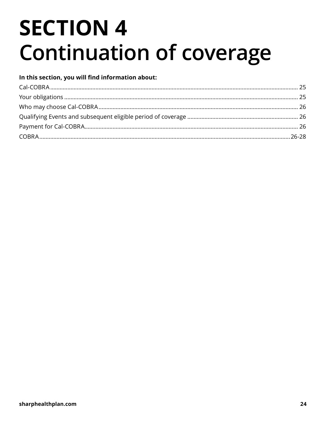## **SECTION 4 Continuation of coverage**

#### In this section, you will find information about: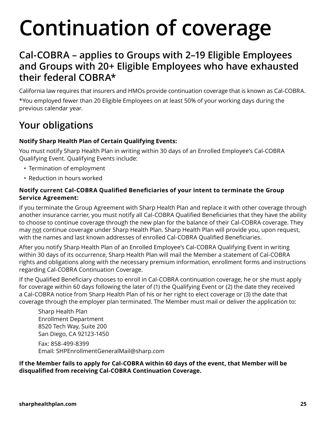## **Continuation of coverage**

#### **Cal-COBRA – applies to Groups with 2–19 Eligible Employees and Groups with 20+ Eligible Employees who have exhausted their federal COBRA\***

California law requires that insurers and HMOs provide continuation coverage that is known as Cal-COBRA. \*You employed fewer than 20 Eligible Employees on at least 50% of your working days during the previous calendar year.

### **Your obligations**

#### **Notify Sharp Health Plan of Certain Qualifying Events:**

You must notify Sharp Health Plan in writing within 30 days of an Enrolled Employee's Cal-COBRA Qualifying Event. Qualifying Events include:

- Termination of employment
- Reduction in hours worked

#### **Notify current Cal-COBRA Qualified Beneficiaries of your intent to terminate the Group Service Agreement:**

If you terminate the Group Agreement with Sharp Health Plan and replace it with other coverage through another insurance carrier, you must notify all Cal-COBRA Qualified Beneficiaries that they have the ability to choose to continue coverage through the new plan for the balance of their Cal-COBRA coverage. They may not continue coverage under Sharp Health Plan. Sharp Health Plan will provide you, upon request, with the names and last known addresses of enrolled Cal-COBRA Qualified Beneficiaries.

After you notify Sharp Health Plan of an Enrolled Employee's Cal-COBRA Qualifying Event in writing within 30 days of its occurrence, Sharp Health Plan will mail the Member a statement of Cal-COBRA rights and obligations along with the necessary premium information, enrollment forms and instructions regarding Cal-COBRA Continuation Coverage.

If the Qualified Beneficiary chooses to enroll in Cal-COBRA continuation coverage, he or she must apply for coverage within 60 days following the later of (1) the Qualifying Event or (2) the date they received a Cal-COBRA notice from Sharp Health Plan of his or her right to elect coverage or (3) the date that coverage through the employer plan terminated. The Member must mail or deliver the application to:

Sharp Health Plan Enrollment Department 8520 Tech Way, Suite 200 San Diego, CA 92123-1450

Fax: 858-499-8399 Email: [SHPEnrollmentGeneralMail@sharp.com](mailto:SHPEnrollmentGeneralMail@sharp.com)

**If the Member fails to apply for Cal-COBRA within 60 days of the event, that Member will be disqualified from receiving Cal-COBRA Continuation Coverage.**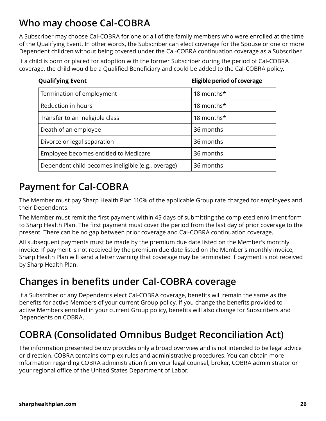### **Who may choose Cal-COBRA**

A Subscriber may choose Cal-COBRA for one or all of the family members who were enrolled at the time of the Qualifying Event. In other words, the Subscriber can elect coverage for the Spouse or one or more Dependent children without being covered under the Cal-COBRA continuation coverage as a Subscriber.

If a child is born or placed for adoption with the former Subscriber during the period of Cal-COBRA coverage, the child would be a Qualified Beneficiary and could be added to the Cal-COBRA policy.

|  | <b>Qualifying Event</b> |  |
|--|-------------------------|--|
|--|-------------------------|--|

**Eligible period of coverage** 

| Termination of employment                          | 18 months* |
|----------------------------------------------------|------------|
| Reduction in hours                                 | 18 months* |
| Transfer to an ineligible class                    | 18 months* |
| Death of an employee                               | 36 months  |
| Divorce or legal separation                        | 36 months  |
| Employee becomes entitled to Medicare              | 36 months  |
| Dependent child becomes ineligible (e.g., overage) | 36 months  |

### **Payment for Cal-COBRA**

The Member must pay Sharp Health Plan 110% of the applicable Group rate charged for employees and their Dependents.

The Member must remit the first payment within 45 days of submitting the completed enrollment form to Sharp Health Plan. The first payment must cover the period from the last day of prior coverage to the present. There can be no gap between prior coverage and Cal-COBRA continuation coverage.

All subsequent payments must be made by the premium due date listed on the Member's monthly invoice. If payment is not received by the premium due date listed on the Member's monthly invoice, Sharp Health Plan will send a letter warning that coverage may be terminated if payment is not received by Sharp Health Plan.

### **Changes in benefits under Cal-COBRA coverage**

If a Subscriber or any Dependents elect Cal-COBRA coverage, benefits will remain the same as the benefits for active Members of your current Group policy. If you change the benefits provided to active Members enrolled in your current Group policy, benefits will also change for Subscribers and Dependents on COBRA.

### **COBRA (Consolidated Omnibus Budget Reconciliation Act)**

The information presented below provides only a broad overview and is not intended to be legal advice or direction. COBRA contains complex rules and administrative procedures. You can obtain more information regarding COBRA administration from your legal counsel, broker, COBRA administrator or your regional office of the United States Department of Labor.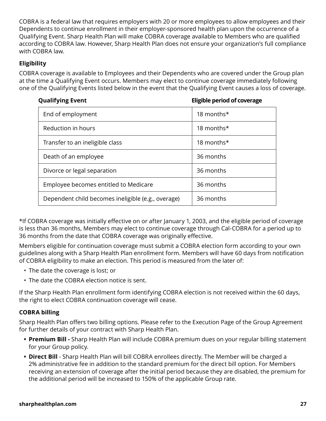COBRA is a federal law that requires employers with 20 or more employees to allow employees and their Dependents to continue enrollment in their employer-sponsored health plan upon the occurrence of a Qualifying Event. Sharp Health Plan will make COBRA coverage available to Members who are qualified according to COBRA law. However, Sharp Health Plan does not ensure your organization's full compliance with COBRA law.

#### **Eligibility**

COBRA coverage is available to Employees and their Dependents who are covered under the Group plan at the time a Qualifying Event occurs. Members may elect to continue coverage immediately following one of the Qualifying Events listed below in the event that the Qualifying Event causes a loss of coverage.

**Qualifying Event Eligible period of coverage**

| End of employment                                  | 18 months* |
|----------------------------------------------------|------------|
| Reduction in hours                                 | 18 months* |
| Transfer to an ineligible class                    | 18 months* |
| Death of an employee                               | 36 months  |
| Divorce or legal separation                        | 36 months  |
| Employee becomes entitled to Medicare              | 36 months  |
| Dependent child becomes ineligible (e.g., overage) | 36 months  |

\*If COBRA coverage was initially effective on or after January 1, 2003, and the eligible period of coverage is less than 36 months, Members may elect to continue coverage through Cal-COBRA for a period up to 36 months from the date that COBRA coverage was originally effective.

Members eligible for continuation coverage must submit a COBRA election form according to your own guidelines along with a Sharp Health Plan enrollment form. Members will have 60 days from notification of COBRA eligibility to make an election. This period is measured from the later of:

- The date the coverage is lost; or
- The date the COBRA election notice is sent.

If the Sharp Health Plan enrollment form identifying COBRA election is not received within the 60 days, the right to elect COBRA continuation coverage will cease.

#### **COBRA billing**

Sharp Health Plan offers two billing options. Please refer to the Execution Page of the Group Agreement for further details of your contract with Sharp Health Plan.

- **• Premium Bill** Sharp Health Plan will include COBRA premium dues on your regular billing statement for your Group policy.
- **• Direct Bill** Sharp Health Plan will bill COBRA enrollees directly. The Member will be charged a 2% administrative fee in addition to the standard premium for the direct bill option. For Members receiving an extension of coverage after the initial period because they are disabled, the premium for the additional period will be increased to 150% of the applicable Group rate.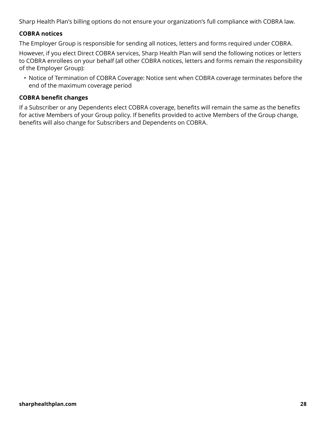Sharp Health Plan's billing options do not ensure your organization's full compliance with COBRA law.

#### **COBRA notices**

The Employer Group is responsible for sending all notices, letters and forms required under COBRA.

However, if you elect Direct COBRA services, Sharp Health Plan will send the following notices or letters to COBRA enrollees on your behalf (all other COBRA notices, letters and forms remain the responsibility of the Employer Group):

• Notice of Termination of COBRA Coverage: Notice sent when COBRA coverage terminates before the end of the maximum coverage period

#### **COBRA benefit changes**

If a Subscriber or any Dependents elect COBRA coverage, benefits will remain the same as the benefits for active Members of your Group policy. If benefits provided to active Members of the Group change, benefits will also change for Subscribers and Dependents on COBRA.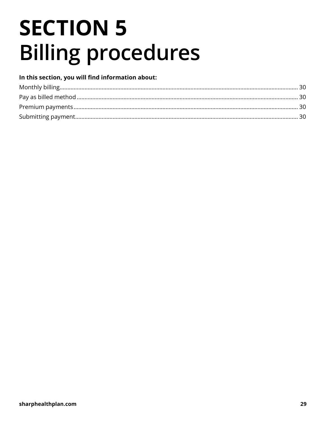## **SECTION 5 Billing procedures**

#### In this section, you will find information about: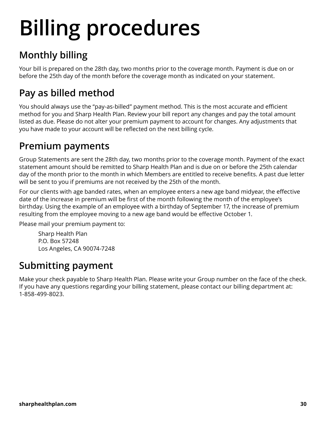## **Billing procedures**

## **Monthly billing**

Your bill is prepared on the 28th day, two months prior to the coverage month. Payment is due on or before the 25th day of the month before the coverage month as indicated on your statement.

## **Pay as billed method**

You should always use the "pay-as-billed" payment method. This is the most accurate and efficient method for you and Sharp Health Plan. Review your bill report any changes and pay the total amount listed as due. Please do not alter your premium payment to account for changes. Any adjustments that you have made to your account will be reflected on the next billing cycle.

### **Premium payments**

Group Statements are sent the 28th day, two months prior to the coverage month. Payment of the exact statement amount should be remitted to Sharp Health Plan and is due on or before the 25th calendar day of the month prior to the month in which Members are entitled to receive benefits. A past due letter will be sent to you if premiums are not received by the 25th of the month.

For our clients with age banded rates, when an employee enters a new age band midyear, the effective date of the increase in premium will be first of the month following the month of the employee's birthday. Using the example of an employee with a birthday of September 17, the increase of premium resulting from the employee moving to a new age band would be effective October 1.

Please mail your premium payment to:

Sharp Health Plan P.O. Box 57248 Los Angeles, CA 90074-7248

#### **Submitting payment**

Make your check payable to Sharp Health Plan. Please write your Group number on the face of the check. If you have any questions regarding your billing statement, please contact our billing department at: 1-858-499-8023.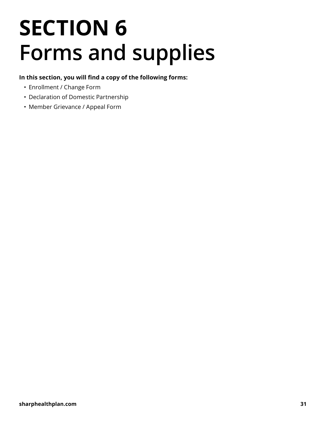## **SECTION 6 Forms and supplies**

#### **In this section, you will find a copy of the following forms:**

- Enrollment / Change Form
- Declaration of Domestic Partnership
- Member Grievance / Appeal Form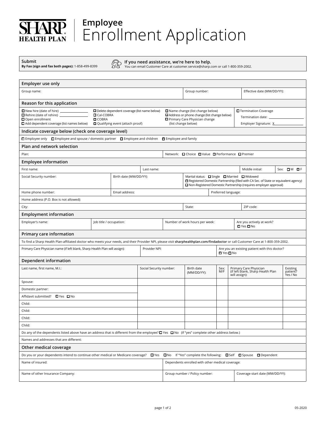#### **Employee** HARP. Enrollment Application **LTH PLAN**

**Submit By Fax (sign and fax both pages):** 1-858-499-8399 *If you need assistance, we're here to help.* **<b>***If you need assistance, we're here to help.* 

You can email Customer Care at [customer.service@sharp.com](mailto:customer.service@sharp.com) or call 1-800-359-2002.

| Employer use only                                                                                                                                                                                                               |                         |                        |                         |                                                                                                                                                                                       |                                                             |                     |               |                                                                                                                                                          |                                  |  |
|---------------------------------------------------------------------------------------------------------------------------------------------------------------------------------------------------------------------------------|-------------------------|------------------------|-------------------------|---------------------------------------------------------------------------------------------------------------------------------------------------------------------------------------|-------------------------------------------------------------|---------------------|---------------|----------------------------------------------------------------------------------------------------------------------------------------------------------|----------------------------------|--|
| Group name:                                                                                                                                                                                                                     |                         |                        |                         |                                                                                                                                                                                       | Group number:                                               |                     |               | Effective date (MM/DD/YY):                                                                                                                               |                                  |  |
| Reason for this application                                                                                                                                                                                                     |                         |                        |                         |                                                                                                                                                                                       |                                                             |                     |               |                                                                                                                                                          |                                  |  |
| New hire (date of hire) _____________<br>Delete dependent coverage (list name below)<br><b>O</b> Cal-COBRA<br>Open enrollment<br><b>O</b> COBRA<br>Add dependent coverage (list names below)<br>Qualifying event (attach proof) |                         |                        |                         | Name change (list change below)<br>Termination Coverage<br>Address or phone change (list change below)<br>Termination date: _<br>Primary Care Physician change<br>(list change below) |                                                             |                     |               |                                                                                                                                                          |                                  |  |
| Indicate coverage below (check one coverage level)                                                                                                                                                                              |                         |                        |                         |                                                                                                                                                                                       |                                                             |                     |               |                                                                                                                                                          |                                  |  |
| <b>□</b> Employee only □ Employee and spouse / domestic partner □ Employee and children □ Employee and family                                                                                                                   |                         |                        |                         |                                                                                                                                                                                       |                                                             |                     |               |                                                                                                                                                          |                                  |  |
| <b>Plan and network selection</b>                                                                                                                                                                                               |                         |                        |                         |                                                                                                                                                                                       |                                                             |                     |               |                                                                                                                                                          |                                  |  |
| Plan:                                                                                                                                                                                                                           |                         |                        |                         |                                                                                                                                                                                       | Network: □ Choice □ Value □ Performance □ Premier           |                     |               |                                                                                                                                                          |                                  |  |
| <b>Employee information</b>                                                                                                                                                                                                     |                         |                        |                         |                                                                                                                                                                                       |                                                             |                     |               |                                                                                                                                                          |                                  |  |
| First name:                                                                                                                                                                                                                     |                         |                        | Last name:              |                                                                                                                                                                                       |                                                             |                     |               | Middle initial:                                                                                                                                          | Sex: $\Box M$ $\Box F$           |  |
| Social Security number:                                                                                                                                                                                                         |                         | Birth date (MM/DD/YY): |                         |                                                                                                                                                                                       | Marital status: $\Box$ Single $\Box$ Married $\Box$ Widowed |                     |               | Registered Domestic Partnership (filed with CA Sec. of State or equivalent agency)<br>□ Non-Registered Domestic Partnership (requires employer approval) |                                  |  |
| Home phone number:                                                                                                                                                                                                              |                         | Email address:         |                         |                                                                                                                                                                                       |                                                             | Preferred language: |               |                                                                                                                                                          |                                  |  |
| Home address (P.O. Box is not allowed):                                                                                                                                                                                         |                         |                        |                         |                                                                                                                                                                                       |                                                             |                     |               |                                                                                                                                                          |                                  |  |
| City:                                                                                                                                                                                                                           |                         |                        |                         |                                                                                                                                                                                       | State:                                                      |                     |               | ZIP code:                                                                                                                                                |                                  |  |
| <b>Employment information</b>                                                                                                                                                                                                   |                         |                        |                         |                                                                                                                                                                                       |                                                             |                     |               |                                                                                                                                                          |                                  |  |
| Employer's name:                                                                                                                                                                                                                | Job title / occupation: |                        |                         | Number of work hours per week:                                                                                                                                                        |                                                             |                     |               | Are you actively at work?<br>$\Box$ Yes $\Box$ No                                                                                                        |                                  |  |
| Primary care information                                                                                                                                                                                                        |                         |                        |                         |                                                                                                                                                                                       |                                                             |                     |               |                                                                                                                                                          |                                  |  |
| To find a Sharp Health Plan-affiliated doctor who meets your needs, and their Provider NPI, please visit sharphealthplan.com/findadoctor or call Customer Care at 1-800-359-2002.                                               |                         |                        |                         |                                                                                                                                                                                       |                                                             |                     |               |                                                                                                                                                          |                                  |  |
| Primary Care Physician name (if left blank, Sharp Health Plan will assign):                                                                                                                                                     |                         |                        | Provider NPI:           | Are you an existing patient with this doctor?<br><b>□</b> Yes <b>□</b> No                                                                                                             |                                                             |                     |               |                                                                                                                                                          |                                  |  |
| Dependent information                                                                                                                                                                                                           |                         |                        |                         |                                                                                                                                                                                       |                                                             |                     |               |                                                                                                                                                          |                                  |  |
| Last name, first name, M.I.:                                                                                                                                                                                                    |                         |                        | Social Security number: |                                                                                                                                                                                       | Birth date<br>(MM/DD/YY):                                   | Sex:<br>M/F         | will assign): | Primary Care Physician<br>(if left blank, Sharp Health Plan                                                                                              | Existing<br>patient?<br>Yes / No |  |
| Spouse:                                                                                                                                                                                                                         |                         |                        |                         |                                                                                                                                                                                       |                                                             |                     |               |                                                                                                                                                          |                                  |  |
| Domestic partner:                                                                                                                                                                                                               |                         |                        |                         |                                                                                                                                                                                       |                                                             |                     |               |                                                                                                                                                          |                                  |  |
| Affidavit submitted? ■ Yes ■ No                                                                                                                                                                                                 |                         |                        |                         |                                                                                                                                                                                       |                                                             |                     |               |                                                                                                                                                          |                                  |  |
| Child:                                                                                                                                                                                                                          |                         |                        |                         |                                                                                                                                                                                       |                                                             |                     |               |                                                                                                                                                          |                                  |  |
| Child:                                                                                                                                                                                                                          |                         |                        |                         |                                                                                                                                                                                       |                                                             |                     |               |                                                                                                                                                          |                                  |  |
| Child:                                                                                                                                                                                                                          |                         |                        |                         |                                                                                                                                                                                       |                                                             |                     |               |                                                                                                                                                          |                                  |  |
| Child:                                                                                                                                                                                                                          |                         |                        |                         |                                                                                                                                                                                       |                                                             |                     |               |                                                                                                                                                          |                                  |  |
| Do any of the dependents listed above have an address that is different from the employee? $\Box$ Yes $\Box$ No (If "yes" complete other address below.)                                                                        |                         |                        |                         |                                                                                                                                                                                       |                                                             |                     |               |                                                                                                                                                          |                                  |  |
| Names and addresses that are different:                                                                                                                                                                                         |                         |                        |                         |                                                                                                                                                                                       |                                                             |                     |               |                                                                                                                                                          |                                  |  |
| Other medical coverage                                                                                                                                                                                                          |                         |                        |                         |                                                                                                                                                                                       |                                                             |                     |               |                                                                                                                                                          |                                  |  |
| Do you or your dependents intend to continue other medical or Medicare coverage?                                                                                                                                                |                         |                        | $\blacksquare$ Yes      | $\blacksquare$ No                                                                                                                                                                     |                                                             |                     |               | If "Yes" complete the following: □ Self □ Spouse □ Dependent                                                                                             |                                  |  |
| Name of insured:                                                                                                                                                                                                                |                         |                        |                         |                                                                                                                                                                                       | Dependents enrolled with other medical coverage:            |                     |               |                                                                                                                                                          |                                  |  |
| Name of other Insurance Company:                                                                                                                                                                                                |                         |                        |                         | Group number / Policy number:<br>Coverage start date (MM/DD/YY):                                                                                                                      |                                                             |                     |               |                                                                                                                                                          |                                  |  |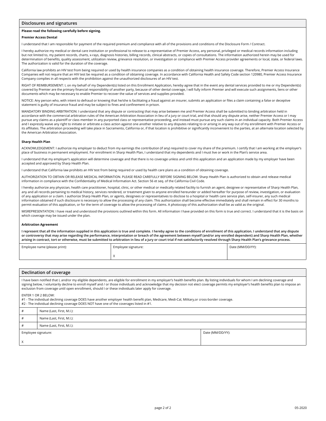#### **Disclosures and signatures**

#### **Please read the following carefully before signing.**

#### **Premier Access Dental**

I understand that I am responsible for payment of the required premium and compliance with all of the provisions and conditions of the Disclosure Form / Contract.

I hereby authorize my medical or dental care institution or professional to release to a representative of Premier Access, any personal, privileged or medical records information including but not limited to, my patient records, charts, x-rays, diagnosis histories, billing records, clinical abstracts, or copies of consultations. The information authorized herein may be used for determination of benefits, quality assessment, utilization review, grievance resolution, or investigation or compliance with Premier Access provider agreements or local, state, or federal laws. The authorization is valid for the duration of the coverage.

California law prohibits an HIV test from being required or used by health insurance companies as a condition of obtaining health insurance coverage. Therefore, Premier Access Insurance Companies will not require that an HIV test be required as a condition of obtaining coverage. In accordance with California Health and Safety Code section 120980, Premier Access Insurance Company complies in all respects with the prohibition against the unauthorized disclosures of an HIV test.

RIGHT OF REIMBURSEMENT: I, on my behalf of my Dependent(s) listed on this Enrollment Application, hereby agree that in the event any dental services provided to me or my Dependent(s) covered by Premier are the primary financial responsibility of another party, because of other dental coverage, I will fully inform Premier and will execute such assignments, liens or other documents which may be necessary to enable Premier to recover the value of services and supplies provided.

NOTICE: Any person who, with intent to defraud or knowing that he/she is facilitating a fraud against an insurer, submits an application or files a claim containing a false or deceptive statement is guilty of insurance fraud and may be subject to fines and confinement in prison.

MANDATORY BINDING ARBITRATION: I understand that any dispute or contracting that may arise between me and Premier Access shall be submitted to binding arbitration held in accordance with the commercial arbitration rules of the American Arbitration Association in lieu of a jury or court trial, and that should any dispute arise, neither Premier Access or I may pursue any claims as a plaintiff or class member in any purported class or representative proceeding, and instead must pursue any such claims in an individual capacity. Both Premier Access and I expressly waive any right to initiate or arbitrate a class action against one another relative to any disputes relating to or arising in any way out of my enrollment with Premier Access or its affiliates. The arbitration proceeding will take place in Sacramento, California or, if that location is prohibitive or significantly inconvenient to the parties, at an alternate location selected by the American Arbitration Association.

#### **Sharp Health Plan**

ACKNOWLEDGEMENT: I authorize my employer to deduct from my earnings the contribution (if any) required to cover my share of the premium. I certify that I am working at the employer's place of business in permanent employment. For enrollment in Sharp Health Plan, I understand that my dependents and I must live or work in the Plan's service area.

I understand that my employer's application will determine coverage and that there is no coverage unless and until this application and an application made by my employer have been accepted and approved by Sharp Health Plan.

I understand that California law prohibits an HIV test from being required or used by health care plans as a condition of obtaining coverage.

AUTHORIZATION TO OBTAIN OR RELEASE MEDICAL INFORMATION. PLEASE READ CAREFULLY BEFORE SIGNING BELOW. Sharp Health Plan is authorized to obtain and release medical information in compliance with the Confidentiality of Medical Information Act. Section 56 et seq. of the California Civil Code.

I hereby authorize any physician, health care practitioner, hospital, clinic, or other medical or medically related facility to furnish an agent, designee or representative of Sharp Health Plan, any and all records pertaining to medical history, services rendered, or treatment given to anyone enrolled hereunder or added hereafter for purpose of review, investigation, or evaluation of any application or a claim. I authorize Sharp Health Plan, or agents, designees or representatives to disclose to a hospital or health care service plan, self-insurer, any such medical information obtained if such disclosure is necessary to allow the processing of any claim. This authorization shall become effective immediately and shall remain in effect for 30 months to permit evaluation of this application, or for the term of coverage to allow the processing of claims. A photocopy of this authorization shall be as valid as the original.

MISREPRESENTATION: I have read and understood the provisions outlined within this form. All information I have provided on this form is true and correct. I understand that it is the basis on which coverage may be issued under the plan.

#### **Arbitration Agreement**

**I represent that all the information supplied in this application is true and complete. I hereby agree to the conditions of enrollment of this application. I understand that any dispute or controversy that may arise regarding the performance, interpretation or breach of the agreement between myself (and/or any enrolled dependent) and Sharp Health Plan, whether arising in contract, tort or otherwise, must be submitted to arbitration in lieu of a jury or court trial if not satisfactorily resolved through Sharp Health Plan's grievance process.**

| Employee name (please print): | Employee signature:    | Date (MM/DD/YY): |  |  |
|-------------------------------|------------------------|------------------|--|--|
|                               | $\lambda$<br>$\lambda$ |                  |  |  |

|   | Declination of coverage                                                                                                                                                                                                                                                                                                                                                                                                                                                                              |  |  |  |  |  |
|---|------------------------------------------------------------------------------------------------------------------------------------------------------------------------------------------------------------------------------------------------------------------------------------------------------------------------------------------------------------------------------------------------------------------------------------------------------------------------------------------------------|--|--|--|--|--|
|   | I have been notified that I, and/or my eligible dependents, are eligible for enrollment in my employer's health benefits plan. By listing individuals for whom I am declining coverage and<br>signing below, I voluntarily decline to enroll myself and / or those individuals and acknowledge that my decision not elect coverage permits my employer's health benefits plan to impose an<br>exclusion from coverage until open enrollment, should I or these individuals later apply for coverage. |  |  |  |  |  |
|   | ENTER 1 OR 2 BELOW:<br>#1 - The individual declining coverage DOES have another employer health benefit plan, Medicare, Medi-Cal, Military, or cross-border coverage.<br>#2 - The individual declining coverage DOES NOT have one of the coverages listed in #1.                                                                                                                                                                                                                                     |  |  |  |  |  |
| # | Name (Last, First, M.I.):                                                                                                                                                                                                                                                                                                                                                                                                                                                                            |  |  |  |  |  |
| # | Name (Last, First, M.I.):                                                                                                                                                                                                                                                                                                                                                                                                                                                                            |  |  |  |  |  |

| Employee signature: |                           | Date (MM/DD/YY): |
|---------------------|---------------------------|------------------|
| #                   | Name (Last, First, M.I.): |                  |
| #                   | Name (Last, First, M.l.): |                  |

X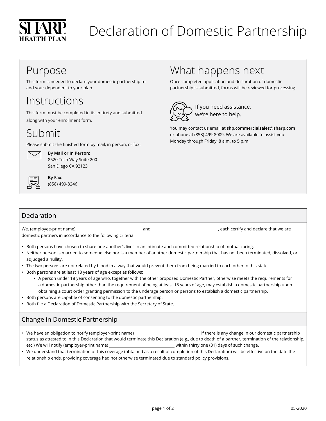

## Declaration of Domestic Partnership

## Purpose

This form is needed to declare your domestic partnership to add your dependent to your plan.

#### Instructions

This form must be completed in its entirety and submitted along with your enrollment form.

## Submit

Please submit the finished form by mail, in person, or fax:



**By Mail or In Person:** 8520 Tech Way Suite 200 San Diego CA 92123



**By Fax:** (858) 499-8246

## What happens next

Once completed application and declaration of domestic partnership is submitted, forms will be reviewed for processing.



 If you need assistance, we're here to help.

You may contact us email at **[shp.commercialsales@sharp.com](mailto:shp.commercialsales@sharp.com)** or phone at (858) 499-8009. We are available to assist you Monday through Friday, 8 a.m. to 5 p.m.

#### Declaration

We, (employee-print name) and , each certify and declare that we are domestic partners in accordance to the following criteria:

- Both persons have chosen to share one another's lives in an intimate and committed relationship of mutual caring.
- Neither person is married to someone else nor is a member of another domestic partnership that has not been terminated, dissolved, or adjudged a nullity.
- The two persons are not related by blood in a way that would prevent them from being married to each other in this state.
- Both persons are at least 18 years of age except as follows:
	- A person under 18 years of age who, together with the other proposed Domestic Partner, otherwise meets the requirements for a domestic partnership other than the requirement of being at least 18 years of age, may establish a domestic partnership upon obtaining a court order granting permission to the underage person or persons to establish a domestic partnership.
- Both persons are capable of consenting to the domestic partnership.
- Both file a Declaration of Domestic Partnership with the Secretary of State.

#### Change in Domestic Partnership

- We have an obligation to notify (employer-print name) if there is any change in our domestic partnership status as attested to in this Declaration that would terminate this Declaration (e.g., due to death of a partner, termination of the relationship, etc.) We will notify (employer-print name) \_\_\_\_\_\_\_\_\_\_\_\_\_\_\_\_\_\_\_\_\_\_\_\_\_\_\_\_\_\_\_\_\_within thirty one (31) days of such change.
- We understand that termination of this coverage (obtained as a result of completion of this Declaration) will be effective on the date the relationship ends, providing coverage had not otherwise terminated due to standard policy provisions.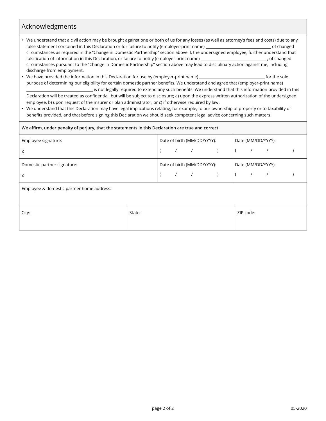#### Acknowledgments

- We understand that a civil action may be brought against one or both of us for any losses (as well as attorney's fees and costs) due to any false statement contained in this Declaration or for failure to notify (employer-print name) of changed circumstances as required in the "Change in Domestic Partnership" section above. I, the undersigned employee, further understand that falsification of information in this Declaration, or failure to notify (employer-print name) , of changed circumstances pursuant to the "Change in Domestic Partnership" section above may lead to disciplinary action against me, including discharge from employment.
- We have provided the information in this Declaration for use by (employer-print name) for the sole for the sole purpose of determining our eligibility for certain domestic partner benefits. We understand and agree that (employer-print name) is not legally required to extend any such benefits. We understand that this information provided in this Declaration will be treated as confidential, but will be subject to disclosure; a) upon the express written authorization of the undersigned employee, b) upon request of the insurer or plan administrator, or c) if otherwise required by law.
- We understand that this Declaration may have legal implications relating, for example, to our ownership of property or to taxability of benefits provided, and that before signing this Declaration we should seek competent legal advice concerning such matters.

| We affirm, under penalty of perjury, that the statements in this Declaration are true and correct. |        |                             |                             |  |  |  |                    |  |  |  |
|----------------------------------------------------------------------------------------------------|--------|-----------------------------|-----------------------------|--|--|--|--------------------|--|--|--|
| Employee signature:                                                                                |        |                             | Date of birth (MM/DD/YYYY): |  |  |  | Date (MM/DD/YYYY): |  |  |  |
| X                                                                                                  |        |                             |                             |  |  |  |                    |  |  |  |
| Domestic partner signature:                                                                        |        | Date of birth (MM/DD/YYYY): |                             |  |  |  | Date (MM/DD/YYYY): |  |  |  |
| X                                                                                                  |        |                             |                             |  |  |  |                    |  |  |  |
| Employee & domestic partner home address:                                                          |        |                             |                             |  |  |  |                    |  |  |  |
| City:                                                                                              | State: |                             |                             |  |  |  | ZIP code:          |  |  |  |
|                                                                                                    |        |                             |                             |  |  |  |                    |  |  |  |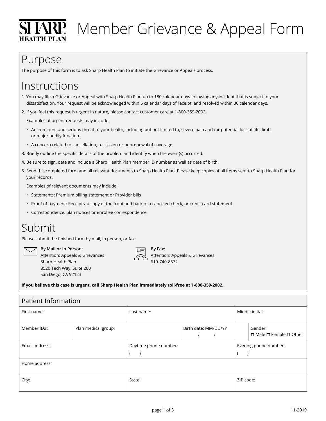

## $\mathbf{A}\mathbf{R}\mathbf{P}$ . Member Grievance & Appeal Form

## Purpose

The purpose of this form is to ask Sharp Health Plan to initiate the Grievance or Appeals process.

## **Instructions**

- 1. You may file a Grievance or Appeal with Sharp Health Plan up to 180 calendar days following any incident that is subject to your dissatisfaction. Your request will be acknowledged within 5 calendar days of receipt, and resolved within 30 calendar days.
- 2. If you feel this request is urgent in nature, please contact customer care at 1-800-359-2002.

Examples of urgent requests may include:

- An imminent and serious threat to your health, including but not limited to, severe pain and /or potential loss of life, limb, or major bodily function.
- A concern related to cancellation, rescission or nonrenewal of coverage.
- 3. Briefly outline the specific details of the problem and identify when the event(s) occurred.
- 4. Be sure to sign, date and include a Sharp Health Plan member ID number as well as date of birth.
- 5. Send this completed form and all relevant documents to Sharp Health Plan. Please keep copies of all items sent to Sharp Health Plan for your records.

Examples of relevant documents may include:

- Statements: Premium billing statement or Provider bills
- Proof of payment: Receipts, a copy of the front and back of a canceled check, or credit card statement
- Correspondence: plan notices or enrollee correspondence

## Submit

Please submit the finished form by mail, in person, or fax:

 **By Mail or In Person:** Attention: Appeals & Grievances Sharp Health Plan 8520 Tech Way, Suite 200

San Diego, CA 92123

 **By Fax:** Attention: Appeals & Grievances 619-740-8572

**If you believe this case is urgent, call Sharp Health Plan immediately toll-free at 1-800-359-2002.**

| <b>Patient Information</b> |                     |                       |                      |  |           |                                        |
|----------------------------|---------------------|-----------------------|----------------------|--|-----------|----------------------------------------|
| First name:                |                     | Last name:            |                      |  |           | Middle initial:                        |
| Member ID#:                | Plan medical group: |                       | Birth date: MM/DD/YY |  |           | Gender:                                |
|                            |                     |                       |                      |  |           | $\Box$ Male $\Box$ Female $\Box$ Other |
| Email address:             |                     | Daytime phone number: |                      |  |           | Evening phone number:                  |
|                            |                     |                       |                      |  |           |                                        |
| Home address:              |                     |                       |                      |  |           |                                        |
| City:                      |                     | State:                |                      |  | ZIP code: |                                        |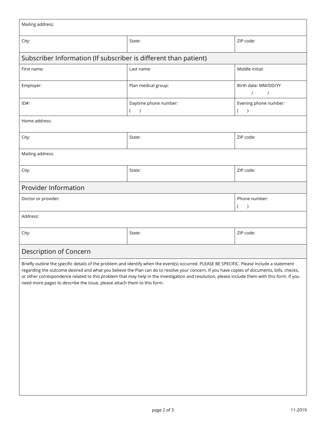| Mailing address:                                                        |                                                                                                                                                                                                                                                                                                                                                                                                                                             |                                    |  |  |  |  |
|-------------------------------------------------------------------------|---------------------------------------------------------------------------------------------------------------------------------------------------------------------------------------------------------------------------------------------------------------------------------------------------------------------------------------------------------------------------------------------------------------------------------------------|------------------------------------|--|--|--|--|
| City:                                                                   | State:                                                                                                                                                                                                                                                                                                                                                                                                                                      | ZIP code:                          |  |  |  |  |
| Subscriber Information (If subscriber is different than patient)        |                                                                                                                                                                                                                                                                                                                                                                                                                                             |                                    |  |  |  |  |
| First name:                                                             | Last name:                                                                                                                                                                                                                                                                                                                                                                                                                                  | Middle initial:                    |  |  |  |  |
| Employer:                                                               | Plan medical group:                                                                                                                                                                                                                                                                                                                                                                                                                         | Birth date: MM/DD/YY<br>$\sqrt{1}$ |  |  |  |  |
| $ID#$ :                                                                 | Daytime phone number:<br>$($ )                                                                                                                                                                                                                                                                                                                                                                                                              | Evening phone number:<br>$($ $)$   |  |  |  |  |
| Home address:                                                           |                                                                                                                                                                                                                                                                                                                                                                                                                                             |                                    |  |  |  |  |
| City:                                                                   | State:                                                                                                                                                                                                                                                                                                                                                                                                                                      | ZIP code:                          |  |  |  |  |
| Mailing address:                                                        |                                                                                                                                                                                                                                                                                                                                                                                                                                             |                                    |  |  |  |  |
| City:                                                                   | State:                                                                                                                                                                                                                                                                                                                                                                                                                                      | ZIP code:                          |  |  |  |  |
| Provider Information                                                    |                                                                                                                                                                                                                                                                                                                                                                                                                                             |                                    |  |  |  |  |
| Doctor or provider:<br>Phone number:<br>$($ $)$                         |                                                                                                                                                                                                                                                                                                                                                                                                                                             |                                    |  |  |  |  |
| Address:                                                                |                                                                                                                                                                                                                                                                                                                                                                                                                                             |                                    |  |  |  |  |
| City:                                                                   | State:                                                                                                                                                                                                                                                                                                                                                                                                                                      | ZIP code:                          |  |  |  |  |
| Description of Concern                                                  |                                                                                                                                                                                                                                                                                                                                                                                                                                             |                                    |  |  |  |  |
| need more pages to describe the issue, please attach them to this form. | Briefly outline the specific details of the problem and identify when the event(s) occurred. PLEASE BE SPECIFIC. Please include a statement<br>regarding the outcome desired and what you believe the Plan can do to resolve your concern. If you have copies of documents, bills, checks,<br>or other correspondence related to this problem that may help in the investigation and resolution, please include them with this form. If you |                                    |  |  |  |  |